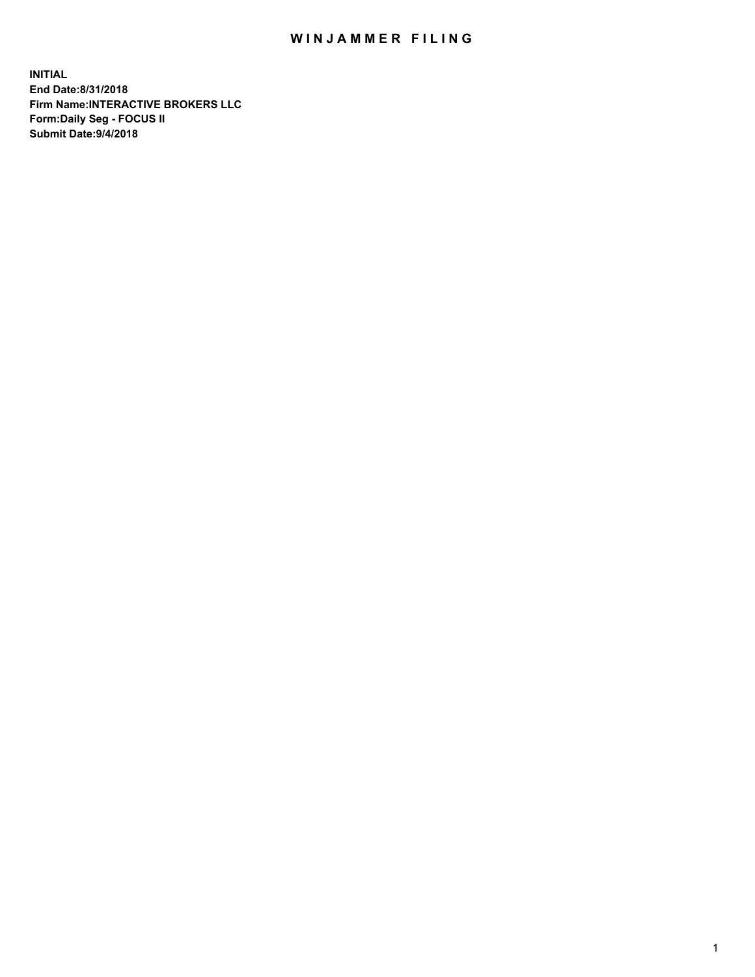## WIN JAMMER FILING

**INITIAL End Date:8/31/2018 Firm Name:INTERACTIVE BROKERS LLC Form:Daily Seg - FOCUS II Submit Date:9/4/2018**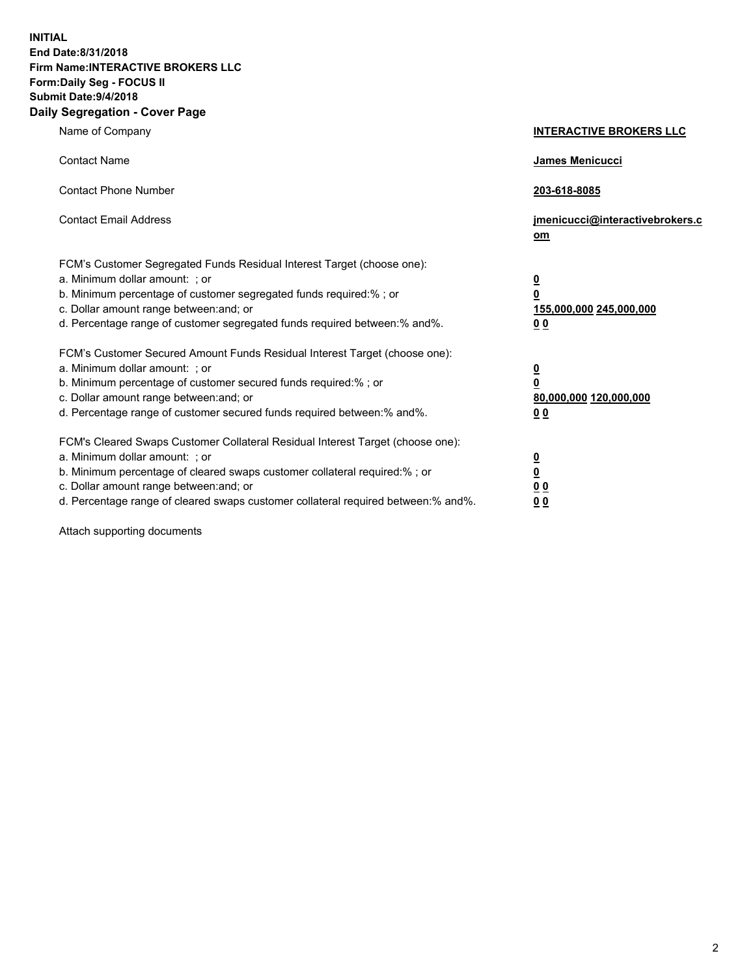**INITIAL End Date:8/31/2018 Firm Name:INTERACTIVE BROKERS LLC Form:Daily Seg - FOCUS II Submit Date:9/4/2018 Daily Segregation - Cover Page**

| Name of Company                                                                                                                                                                                                                                                                                                                | <b>INTERACTIVE BROKERS LLC</b>                                                                  |
|--------------------------------------------------------------------------------------------------------------------------------------------------------------------------------------------------------------------------------------------------------------------------------------------------------------------------------|-------------------------------------------------------------------------------------------------|
| <b>Contact Name</b>                                                                                                                                                                                                                                                                                                            | <b>James Menicucci</b>                                                                          |
| <b>Contact Phone Number</b>                                                                                                                                                                                                                                                                                                    | 203-618-8085                                                                                    |
| <b>Contact Email Address</b>                                                                                                                                                                                                                                                                                                   | jmenicucci@interactivebrokers.c<br>om                                                           |
| FCM's Customer Segregated Funds Residual Interest Target (choose one):<br>a. Minimum dollar amount: ; or<br>b. Minimum percentage of customer segregated funds required:% ; or<br>c. Dollar amount range between: and; or<br>d. Percentage range of customer segregated funds required between:% and%.                         | $\overline{\mathbf{0}}$<br>$\overline{\mathbf{0}}$<br>155,000,000 245,000,000<br>0 <sub>0</sub> |
| FCM's Customer Secured Amount Funds Residual Interest Target (choose one):<br>a. Minimum dollar amount: ; or<br>b. Minimum percentage of customer secured funds required:%; or<br>c. Dollar amount range between: and; or<br>d. Percentage range of customer secured funds required between:% and%.                            | $\frac{0}{0}$<br>80,000,000 120,000,000<br>0 <sub>0</sub>                                       |
| FCM's Cleared Swaps Customer Collateral Residual Interest Target (choose one):<br>a. Minimum dollar amount: ; or<br>b. Minimum percentage of cleared swaps customer collateral required:% ; or<br>c. Dollar amount range between: and; or<br>d. Percentage range of cleared swaps customer collateral required between:% and%. | $\overline{\mathbf{0}}$<br><u>0</u><br>0 <sub>0</sub><br>0 <sub>0</sub>                         |

Attach supporting documents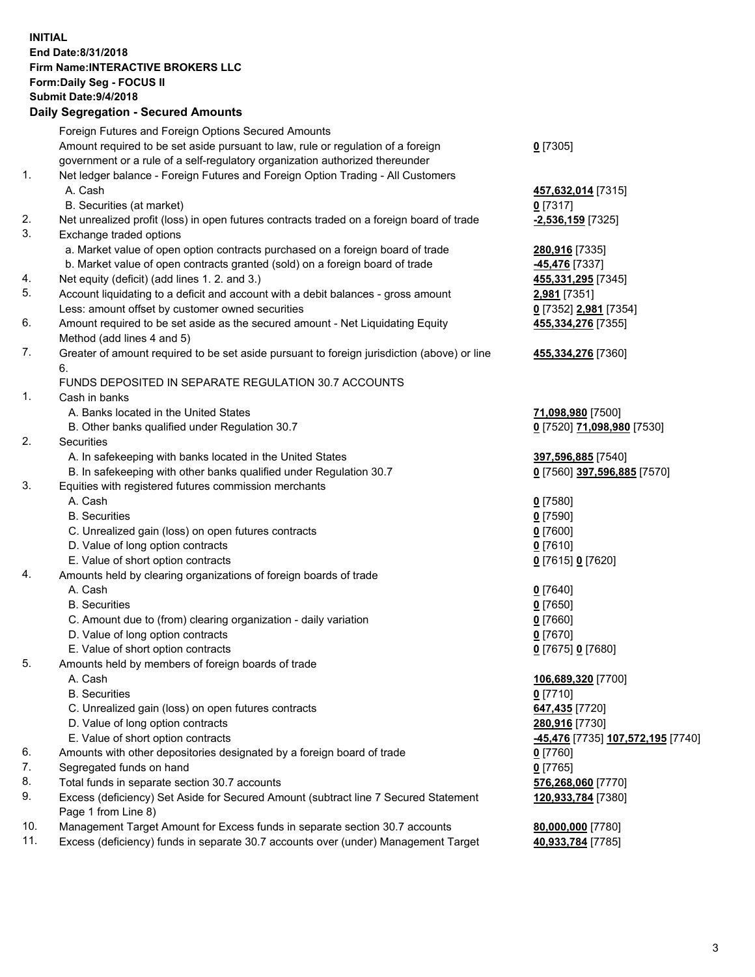## **INITIAL End Date:8/31/2018 Firm Name:INTERACTIVE BROKERS LLC Form:Daily Seg - FOCUS II Submit Date:9/4/2018 Daily Segregation - Secured Amounts**

| Foreign Futures and Foreign Options Secured Amounts |                                                                                                                                                                                                                                                                                                                                                                                                                                                                                                                                                                                                                                                                                                                                                                                                                                                                                                                                                                                                                                                                                                                                                                                                                                                                                                                                                                                                                                                                                                                                                                                                                                                                                                                                                                                                                                                                                                                                                                                                                                                                                                                                                                                                                                                                                                                                                                                                                                                                                   |
|-----------------------------------------------------|-----------------------------------------------------------------------------------------------------------------------------------------------------------------------------------------------------------------------------------------------------------------------------------------------------------------------------------------------------------------------------------------------------------------------------------------------------------------------------------------------------------------------------------------------------------------------------------------------------------------------------------------------------------------------------------------------------------------------------------------------------------------------------------------------------------------------------------------------------------------------------------------------------------------------------------------------------------------------------------------------------------------------------------------------------------------------------------------------------------------------------------------------------------------------------------------------------------------------------------------------------------------------------------------------------------------------------------------------------------------------------------------------------------------------------------------------------------------------------------------------------------------------------------------------------------------------------------------------------------------------------------------------------------------------------------------------------------------------------------------------------------------------------------------------------------------------------------------------------------------------------------------------------------------------------------------------------------------------------------------------------------------------------------------------------------------------------------------------------------------------------------------------------------------------------------------------------------------------------------------------------------------------------------------------------------------------------------------------------------------------------------------------------------------------------------------------------------------------------------|
|                                                     | $0$ [7305]                                                                                                                                                                                                                                                                                                                                                                                                                                                                                                                                                                                                                                                                                                                                                                                                                                                                                                                                                                                                                                                                                                                                                                                                                                                                                                                                                                                                                                                                                                                                                                                                                                                                                                                                                                                                                                                                                                                                                                                                                                                                                                                                                                                                                                                                                                                                                                                                                                                                        |
|                                                     |                                                                                                                                                                                                                                                                                                                                                                                                                                                                                                                                                                                                                                                                                                                                                                                                                                                                                                                                                                                                                                                                                                                                                                                                                                                                                                                                                                                                                                                                                                                                                                                                                                                                                                                                                                                                                                                                                                                                                                                                                                                                                                                                                                                                                                                                                                                                                                                                                                                                                   |
|                                                     |                                                                                                                                                                                                                                                                                                                                                                                                                                                                                                                                                                                                                                                                                                                                                                                                                                                                                                                                                                                                                                                                                                                                                                                                                                                                                                                                                                                                                                                                                                                                                                                                                                                                                                                                                                                                                                                                                                                                                                                                                                                                                                                                                                                                                                                                                                                                                                                                                                                                                   |
|                                                     | 457,632,014 [7315]                                                                                                                                                                                                                                                                                                                                                                                                                                                                                                                                                                                                                                                                                                                                                                                                                                                                                                                                                                                                                                                                                                                                                                                                                                                                                                                                                                                                                                                                                                                                                                                                                                                                                                                                                                                                                                                                                                                                                                                                                                                                                                                                                                                                                                                                                                                                                                                                                                                                |
|                                                     | $0$ [7317]                                                                                                                                                                                                                                                                                                                                                                                                                                                                                                                                                                                                                                                                                                                                                                                                                                                                                                                                                                                                                                                                                                                                                                                                                                                                                                                                                                                                                                                                                                                                                                                                                                                                                                                                                                                                                                                                                                                                                                                                                                                                                                                                                                                                                                                                                                                                                                                                                                                                        |
|                                                     | <u>-2,536,159</u> [7325]                                                                                                                                                                                                                                                                                                                                                                                                                                                                                                                                                                                                                                                                                                                                                                                                                                                                                                                                                                                                                                                                                                                                                                                                                                                                                                                                                                                                                                                                                                                                                                                                                                                                                                                                                                                                                                                                                                                                                                                                                                                                                                                                                                                                                                                                                                                                                                                                                                                          |
|                                                     |                                                                                                                                                                                                                                                                                                                                                                                                                                                                                                                                                                                                                                                                                                                                                                                                                                                                                                                                                                                                                                                                                                                                                                                                                                                                                                                                                                                                                                                                                                                                                                                                                                                                                                                                                                                                                                                                                                                                                                                                                                                                                                                                                                                                                                                                                                                                                                                                                                                                                   |
|                                                     | 280,916 [7335]                                                                                                                                                                                                                                                                                                                                                                                                                                                                                                                                                                                                                                                                                                                                                                                                                                                                                                                                                                                                                                                                                                                                                                                                                                                                                                                                                                                                                                                                                                                                                                                                                                                                                                                                                                                                                                                                                                                                                                                                                                                                                                                                                                                                                                                                                                                                                                                                                                                                    |
|                                                     | -45,476 [7337]                                                                                                                                                                                                                                                                                                                                                                                                                                                                                                                                                                                                                                                                                                                                                                                                                                                                                                                                                                                                                                                                                                                                                                                                                                                                                                                                                                                                                                                                                                                                                                                                                                                                                                                                                                                                                                                                                                                                                                                                                                                                                                                                                                                                                                                                                                                                                                                                                                                                    |
|                                                     | 455,331,295 [7345]                                                                                                                                                                                                                                                                                                                                                                                                                                                                                                                                                                                                                                                                                                                                                                                                                                                                                                                                                                                                                                                                                                                                                                                                                                                                                                                                                                                                                                                                                                                                                                                                                                                                                                                                                                                                                                                                                                                                                                                                                                                                                                                                                                                                                                                                                                                                                                                                                                                                |
|                                                     | 2,981 [7351]                                                                                                                                                                                                                                                                                                                                                                                                                                                                                                                                                                                                                                                                                                                                                                                                                                                                                                                                                                                                                                                                                                                                                                                                                                                                                                                                                                                                                                                                                                                                                                                                                                                                                                                                                                                                                                                                                                                                                                                                                                                                                                                                                                                                                                                                                                                                                                                                                                                                      |
|                                                     | 0 [7352] 2,981 [7354]                                                                                                                                                                                                                                                                                                                                                                                                                                                                                                                                                                                                                                                                                                                                                                                                                                                                                                                                                                                                                                                                                                                                                                                                                                                                                                                                                                                                                                                                                                                                                                                                                                                                                                                                                                                                                                                                                                                                                                                                                                                                                                                                                                                                                                                                                                                                                                                                                                                             |
|                                                     | 455,334,276 [7355]                                                                                                                                                                                                                                                                                                                                                                                                                                                                                                                                                                                                                                                                                                                                                                                                                                                                                                                                                                                                                                                                                                                                                                                                                                                                                                                                                                                                                                                                                                                                                                                                                                                                                                                                                                                                                                                                                                                                                                                                                                                                                                                                                                                                                                                                                                                                                                                                                                                                |
|                                                     |                                                                                                                                                                                                                                                                                                                                                                                                                                                                                                                                                                                                                                                                                                                                                                                                                                                                                                                                                                                                                                                                                                                                                                                                                                                                                                                                                                                                                                                                                                                                                                                                                                                                                                                                                                                                                                                                                                                                                                                                                                                                                                                                                                                                                                                                                                                                                                                                                                                                                   |
|                                                     | 455,334,276 [7360]                                                                                                                                                                                                                                                                                                                                                                                                                                                                                                                                                                                                                                                                                                                                                                                                                                                                                                                                                                                                                                                                                                                                                                                                                                                                                                                                                                                                                                                                                                                                                                                                                                                                                                                                                                                                                                                                                                                                                                                                                                                                                                                                                                                                                                                                                                                                                                                                                                                                |
|                                                     |                                                                                                                                                                                                                                                                                                                                                                                                                                                                                                                                                                                                                                                                                                                                                                                                                                                                                                                                                                                                                                                                                                                                                                                                                                                                                                                                                                                                                                                                                                                                                                                                                                                                                                                                                                                                                                                                                                                                                                                                                                                                                                                                                                                                                                                                                                                                                                                                                                                                                   |
|                                                     |                                                                                                                                                                                                                                                                                                                                                                                                                                                                                                                                                                                                                                                                                                                                                                                                                                                                                                                                                                                                                                                                                                                                                                                                                                                                                                                                                                                                                                                                                                                                                                                                                                                                                                                                                                                                                                                                                                                                                                                                                                                                                                                                                                                                                                                                                                                                                                                                                                                                                   |
|                                                     |                                                                                                                                                                                                                                                                                                                                                                                                                                                                                                                                                                                                                                                                                                                                                                                                                                                                                                                                                                                                                                                                                                                                                                                                                                                                                                                                                                                                                                                                                                                                                                                                                                                                                                                                                                                                                                                                                                                                                                                                                                                                                                                                                                                                                                                                                                                                                                                                                                                                                   |
|                                                     | 71,098,980 [7500]                                                                                                                                                                                                                                                                                                                                                                                                                                                                                                                                                                                                                                                                                                                                                                                                                                                                                                                                                                                                                                                                                                                                                                                                                                                                                                                                                                                                                                                                                                                                                                                                                                                                                                                                                                                                                                                                                                                                                                                                                                                                                                                                                                                                                                                                                                                                                                                                                                                                 |
|                                                     | 0 [7520] 71,098,980 [7530]                                                                                                                                                                                                                                                                                                                                                                                                                                                                                                                                                                                                                                                                                                                                                                                                                                                                                                                                                                                                                                                                                                                                                                                                                                                                                                                                                                                                                                                                                                                                                                                                                                                                                                                                                                                                                                                                                                                                                                                                                                                                                                                                                                                                                                                                                                                                                                                                                                                        |
|                                                     |                                                                                                                                                                                                                                                                                                                                                                                                                                                                                                                                                                                                                                                                                                                                                                                                                                                                                                                                                                                                                                                                                                                                                                                                                                                                                                                                                                                                                                                                                                                                                                                                                                                                                                                                                                                                                                                                                                                                                                                                                                                                                                                                                                                                                                                                                                                                                                                                                                                                                   |
|                                                     | 397,596,885 [7540]                                                                                                                                                                                                                                                                                                                                                                                                                                                                                                                                                                                                                                                                                                                                                                                                                                                                                                                                                                                                                                                                                                                                                                                                                                                                                                                                                                                                                                                                                                                                                                                                                                                                                                                                                                                                                                                                                                                                                                                                                                                                                                                                                                                                                                                                                                                                                                                                                                                                |
|                                                     | 0 [7560] 397,596,885 [7570]                                                                                                                                                                                                                                                                                                                                                                                                                                                                                                                                                                                                                                                                                                                                                                                                                                                                                                                                                                                                                                                                                                                                                                                                                                                                                                                                                                                                                                                                                                                                                                                                                                                                                                                                                                                                                                                                                                                                                                                                                                                                                                                                                                                                                                                                                                                                                                                                                                                       |
|                                                     |                                                                                                                                                                                                                                                                                                                                                                                                                                                                                                                                                                                                                                                                                                                                                                                                                                                                                                                                                                                                                                                                                                                                                                                                                                                                                                                                                                                                                                                                                                                                                                                                                                                                                                                                                                                                                                                                                                                                                                                                                                                                                                                                                                                                                                                                                                                                                                                                                                                                                   |
|                                                     | $0$ [7580]                                                                                                                                                                                                                                                                                                                                                                                                                                                                                                                                                                                                                                                                                                                                                                                                                                                                                                                                                                                                                                                                                                                                                                                                                                                                                                                                                                                                                                                                                                                                                                                                                                                                                                                                                                                                                                                                                                                                                                                                                                                                                                                                                                                                                                                                                                                                                                                                                                                                        |
|                                                     | $0$ [7590]                                                                                                                                                                                                                                                                                                                                                                                                                                                                                                                                                                                                                                                                                                                                                                                                                                                                                                                                                                                                                                                                                                                                                                                                                                                                                                                                                                                                                                                                                                                                                                                                                                                                                                                                                                                                                                                                                                                                                                                                                                                                                                                                                                                                                                                                                                                                                                                                                                                                        |
|                                                     | $0$ [7600]                                                                                                                                                                                                                                                                                                                                                                                                                                                                                                                                                                                                                                                                                                                                                                                                                                                                                                                                                                                                                                                                                                                                                                                                                                                                                                                                                                                                                                                                                                                                                                                                                                                                                                                                                                                                                                                                                                                                                                                                                                                                                                                                                                                                                                                                                                                                                                                                                                                                        |
|                                                     | $0$ [7610]                                                                                                                                                                                                                                                                                                                                                                                                                                                                                                                                                                                                                                                                                                                                                                                                                                                                                                                                                                                                                                                                                                                                                                                                                                                                                                                                                                                                                                                                                                                                                                                                                                                                                                                                                                                                                                                                                                                                                                                                                                                                                                                                                                                                                                                                                                                                                                                                                                                                        |
|                                                     | 0 [7615] 0 [7620]                                                                                                                                                                                                                                                                                                                                                                                                                                                                                                                                                                                                                                                                                                                                                                                                                                                                                                                                                                                                                                                                                                                                                                                                                                                                                                                                                                                                                                                                                                                                                                                                                                                                                                                                                                                                                                                                                                                                                                                                                                                                                                                                                                                                                                                                                                                                                                                                                                                                 |
|                                                     |                                                                                                                                                                                                                                                                                                                                                                                                                                                                                                                                                                                                                                                                                                                                                                                                                                                                                                                                                                                                                                                                                                                                                                                                                                                                                                                                                                                                                                                                                                                                                                                                                                                                                                                                                                                                                                                                                                                                                                                                                                                                                                                                                                                                                                                                                                                                                                                                                                                                                   |
|                                                     | $0$ [7640]                                                                                                                                                                                                                                                                                                                                                                                                                                                                                                                                                                                                                                                                                                                                                                                                                                                                                                                                                                                                                                                                                                                                                                                                                                                                                                                                                                                                                                                                                                                                                                                                                                                                                                                                                                                                                                                                                                                                                                                                                                                                                                                                                                                                                                                                                                                                                                                                                                                                        |
|                                                     | $0$ [7650]                                                                                                                                                                                                                                                                                                                                                                                                                                                                                                                                                                                                                                                                                                                                                                                                                                                                                                                                                                                                                                                                                                                                                                                                                                                                                                                                                                                                                                                                                                                                                                                                                                                                                                                                                                                                                                                                                                                                                                                                                                                                                                                                                                                                                                                                                                                                                                                                                                                                        |
|                                                     | $0$ [7660]                                                                                                                                                                                                                                                                                                                                                                                                                                                                                                                                                                                                                                                                                                                                                                                                                                                                                                                                                                                                                                                                                                                                                                                                                                                                                                                                                                                                                                                                                                                                                                                                                                                                                                                                                                                                                                                                                                                                                                                                                                                                                                                                                                                                                                                                                                                                                                                                                                                                        |
|                                                     | $0$ [7670]                                                                                                                                                                                                                                                                                                                                                                                                                                                                                                                                                                                                                                                                                                                                                                                                                                                                                                                                                                                                                                                                                                                                                                                                                                                                                                                                                                                                                                                                                                                                                                                                                                                                                                                                                                                                                                                                                                                                                                                                                                                                                                                                                                                                                                                                                                                                                                                                                                                                        |
|                                                     | 0 [7675] 0 [7680]                                                                                                                                                                                                                                                                                                                                                                                                                                                                                                                                                                                                                                                                                                                                                                                                                                                                                                                                                                                                                                                                                                                                                                                                                                                                                                                                                                                                                                                                                                                                                                                                                                                                                                                                                                                                                                                                                                                                                                                                                                                                                                                                                                                                                                                                                                                                                                                                                                                                 |
|                                                     |                                                                                                                                                                                                                                                                                                                                                                                                                                                                                                                                                                                                                                                                                                                                                                                                                                                                                                                                                                                                                                                                                                                                                                                                                                                                                                                                                                                                                                                                                                                                                                                                                                                                                                                                                                                                                                                                                                                                                                                                                                                                                                                                                                                                                                                                                                                                                                                                                                                                                   |
|                                                     | 106,689,320 [7700]                                                                                                                                                                                                                                                                                                                                                                                                                                                                                                                                                                                                                                                                                                                                                                                                                                                                                                                                                                                                                                                                                                                                                                                                                                                                                                                                                                                                                                                                                                                                                                                                                                                                                                                                                                                                                                                                                                                                                                                                                                                                                                                                                                                                                                                                                                                                                                                                                                                                |
|                                                     | $0$ [7710]                                                                                                                                                                                                                                                                                                                                                                                                                                                                                                                                                                                                                                                                                                                                                                                                                                                                                                                                                                                                                                                                                                                                                                                                                                                                                                                                                                                                                                                                                                                                                                                                                                                                                                                                                                                                                                                                                                                                                                                                                                                                                                                                                                                                                                                                                                                                                                                                                                                                        |
|                                                     | 647,435 [7720]                                                                                                                                                                                                                                                                                                                                                                                                                                                                                                                                                                                                                                                                                                                                                                                                                                                                                                                                                                                                                                                                                                                                                                                                                                                                                                                                                                                                                                                                                                                                                                                                                                                                                                                                                                                                                                                                                                                                                                                                                                                                                                                                                                                                                                                                                                                                                                                                                                                                    |
|                                                     | 280,916 [7730]                                                                                                                                                                                                                                                                                                                                                                                                                                                                                                                                                                                                                                                                                                                                                                                                                                                                                                                                                                                                                                                                                                                                                                                                                                                                                                                                                                                                                                                                                                                                                                                                                                                                                                                                                                                                                                                                                                                                                                                                                                                                                                                                                                                                                                                                                                                                                                                                                                                                    |
|                                                     | <mark>-45,476</mark> [7735] 107,572,195 [7740]                                                                                                                                                                                                                                                                                                                                                                                                                                                                                                                                                                                                                                                                                                                                                                                                                                                                                                                                                                                                                                                                                                                                                                                                                                                                                                                                                                                                                                                                                                                                                                                                                                                                                                                                                                                                                                                                                                                                                                                                                                                                                                                                                                                                                                                                                                                                                                                                                                    |
|                                                     | $0$ [7760]                                                                                                                                                                                                                                                                                                                                                                                                                                                                                                                                                                                                                                                                                                                                                                                                                                                                                                                                                                                                                                                                                                                                                                                                                                                                                                                                                                                                                                                                                                                                                                                                                                                                                                                                                                                                                                                                                                                                                                                                                                                                                                                                                                                                                                                                                                                                                                                                                                                                        |
|                                                     | $0$ [7765]                                                                                                                                                                                                                                                                                                                                                                                                                                                                                                                                                                                                                                                                                                                                                                                                                                                                                                                                                                                                                                                                                                                                                                                                                                                                                                                                                                                                                                                                                                                                                                                                                                                                                                                                                                                                                                                                                                                                                                                                                                                                                                                                                                                                                                                                                                                                                                                                                                                                        |
|                                                     | 576,268,060 [7770]                                                                                                                                                                                                                                                                                                                                                                                                                                                                                                                                                                                                                                                                                                                                                                                                                                                                                                                                                                                                                                                                                                                                                                                                                                                                                                                                                                                                                                                                                                                                                                                                                                                                                                                                                                                                                                                                                                                                                                                                                                                                                                                                                                                                                                                                                                                                                                                                                                                                |
|                                                     | 120,933,784 [7380]                                                                                                                                                                                                                                                                                                                                                                                                                                                                                                                                                                                                                                                                                                                                                                                                                                                                                                                                                                                                                                                                                                                                                                                                                                                                                                                                                                                                                                                                                                                                                                                                                                                                                                                                                                                                                                                                                                                                                                                                                                                                                                                                                                                                                                                                                                                                                                                                                                                                |
|                                                     |                                                                                                                                                                                                                                                                                                                                                                                                                                                                                                                                                                                                                                                                                                                                                                                                                                                                                                                                                                                                                                                                                                                                                                                                                                                                                                                                                                                                                                                                                                                                                                                                                                                                                                                                                                                                                                                                                                                                                                                                                                                                                                                                                                                                                                                                                                                                                                                                                                                                                   |
|                                                     | 80,000,000 [7780]                                                                                                                                                                                                                                                                                                                                                                                                                                                                                                                                                                                                                                                                                                                                                                                                                                                                                                                                                                                                                                                                                                                                                                                                                                                                                                                                                                                                                                                                                                                                                                                                                                                                                                                                                                                                                                                                                                                                                                                                                                                                                                                                                                                                                                                                                                                                                                                                                                                                 |
|                                                     | 40,933,784 [7785]                                                                                                                                                                                                                                                                                                                                                                                                                                                                                                                                                                                                                                                                                                                                                                                                                                                                                                                                                                                                                                                                                                                                                                                                                                                                                                                                                                                                                                                                                                                                                                                                                                                                                                                                                                                                                                                                                                                                                                                                                                                                                                                                                                                                                                                                                                                                                                                                                                                                 |
|                                                     | Amount required to be set aside pursuant to law, rule or regulation of a foreign<br>government or a rule of a self-regulatory organization authorized thereunder<br>Net ledger balance - Foreign Futures and Foreign Option Trading - All Customers<br>A. Cash<br>B. Securities (at market)<br>Net unrealized profit (loss) in open futures contracts traded on a foreign board of trade<br>Exchange traded options<br>a. Market value of open option contracts purchased on a foreign board of trade<br>b. Market value of open contracts granted (sold) on a foreign board of trade<br>Net equity (deficit) (add lines 1.2. and 3.)<br>Account liquidating to a deficit and account with a debit balances - gross amount<br>Less: amount offset by customer owned securities<br>Amount required to be set aside as the secured amount - Net Liquidating Equity<br>Method (add lines 4 and 5)<br>Greater of amount required to be set aside pursuant to foreign jurisdiction (above) or line<br>6.<br>FUNDS DEPOSITED IN SEPARATE REGULATION 30.7 ACCOUNTS<br>Cash in banks<br>A. Banks located in the United States<br>B. Other banks qualified under Regulation 30.7<br>Securities<br>A. In safekeeping with banks located in the United States<br>B. In safekeeping with other banks qualified under Regulation 30.7<br>Equities with registered futures commission merchants<br>A. Cash<br><b>B.</b> Securities<br>C. Unrealized gain (loss) on open futures contracts<br>D. Value of long option contracts<br>E. Value of short option contracts<br>Amounts held by clearing organizations of foreign boards of trade<br>A. Cash<br><b>B.</b> Securities<br>C. Amount due to (from) clearing organization - daily variation<br>D. Value of long option contracts<br>E. Value of short option contracts<br>Amounts held by members of foreign boards of trade<br>A. Cash<br><b>B.</b> Securities<br>C. Unrealized gain (loss) on open futures contracts<br>D. Value of long option contracts<br>E. Value of short option contracts<br>Amounts with other depositories designated by a foreign board of trade<br>Segregated funds on hand<br>Total funds in separate section 30.7 accounts<br>Excess (deficiency) Set Aside for Secured Amount (subtract line 7 Secured Statement<br>Page 1 from Line 8)<br>Management Target Amount for Excess funds in separate section 30.7 accounts<br>Excess (deficiency) funds in separate 30.7 accounts over (under) Management Target |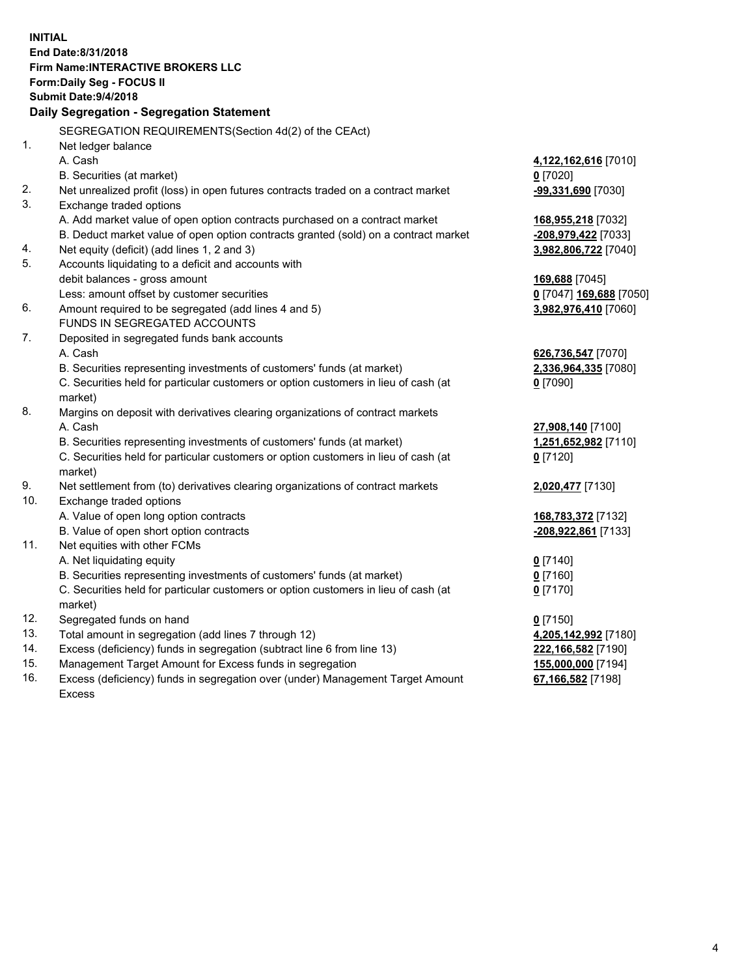**INITIAL End Date:8/31/2018 Firm Name:INTERACTIVE BROKERS LLC Form:Daily Seg - FOCUS II Submit Date:9/4/2018 Daily Segregation - Segregation Statement** SEGREGATION REQUIREMENTS(Section 4d(2) of the CEAct) 1. Net ledger balance A. Cash **4,122,162,616** [7010] B. Securities (at market) **0** [7020] 2. Net unrealized profit (loss) in open futures contracts traded on a contract market **-99,331,690** [7030] 3. Exchange traded options A. Add market value of open option contracts purchased on a contract market **168,955,218** [7032] B. Deduct market value of open option contracts granted (sold) on a contract market **-208,979,422** [7033] 4. Net equity (deficit) (add lines 1, 2 and 3) **3,982,806,722** [7040] 5. Accounts liquidating to a deficit and accounts with debit balances - gross amount **169,688** [7045] Less: amount offset by customer securities **0** [7047] **169,688** [7050] 6. Amount required to be segregated (add lines 4 and 5) **3,982,976,410** [7060] FUNDS IN SEGREGATED ACCOUNTS 7. Deposited in segregated funds bank accounts A. Cash **626,736,547** [7070] B. Securities representing investments of customers' funds (at market) **2,336,964,335** [7080] C. Securities held for particular customers or option customers in lieu of cash (at market) **0** [7090] 8. Margins on deposit with derivatives clearing organizations of contract markets A. Cash **27,908,140** [7100] B. Securities representing investments of customers' funds (at market) **1,251,652,982** [7110] C. Securities held for particular customers or option customers in lieu of cash (at market) **0** [7120] 9. Net settlement from (to) derivatives clearing organizations of contract markets **2,020,477** [7130] 10. Exchange traded options A. Value of open long option contracts **168,783,372** [7132] B. Value of open short option contracts **-208,922,861** [7133] 11. Net equities with other FCMs A. Net liquidating equity **0** [7140] B. Securities representing investments of customers' funds (at market) **0** [7160] C. Securities held for particular customers or option customers in lieu of cash (at market) **0** [7170] 12. Segregated funds on hand **0** [7150] 13. Total amount in segregation (add lines 7 through 12) **4,205,142,992** [7180] 14. Excess (deficiency) funds in segregation (subtract line 6 from line 13) **222,166,582** [7190] 15. Management Target Amount for Excess funds in segregation **155,000,000** [7194] **67,166,582** [7198]

16. Excess (deficiency) funds in segregation over (under) Management Target Amount Excess